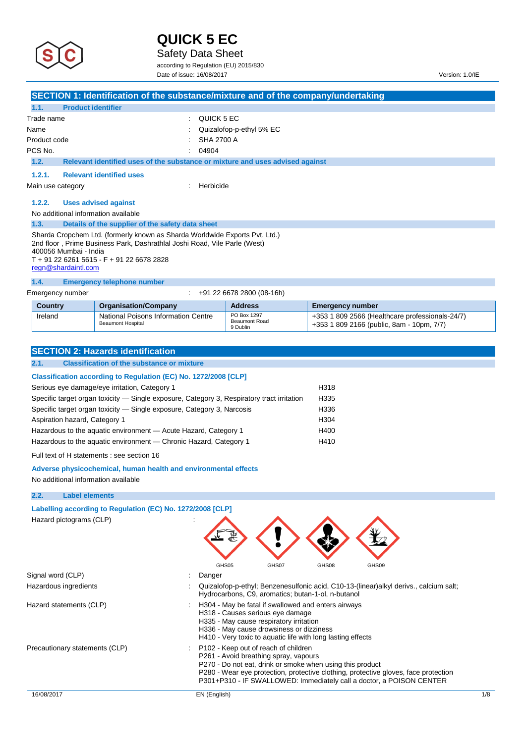

Safety Data Sheet

according to Regulation (EU) 2015/830

Date of issue: 16/08/2017 Version: 1.0/IE

|                                                                                                                                                                                                                                                       | SECTION 1: Identification of the substance/mixture and of the company/undertaking |                           |                         |  |
|-------------------------------------------------------------------------------------------------------------------------------------------------------------------------------------------------------------------------------------------------------|-----------------------------------------------------------------------------------|---------------------------|-------------------------|--|
| <b>Product identifier</b><br>1.1.                                                                                                                                                                                                                     |                                                                                   |                           |                         |  |
| Trade name                                                                                                                                                                                                                                            |                                                                                   | QUICK 5 EC                |                         |  |
| Name                                                                                                                                                                                                                                                  |                                                                                   | Quizalofop-p-ethyl 5% EC  |                         |  |
| Product code                                                                                                                                                                                                                                          |                                                                                   | <b>SHA 2700 A</b>         |                         |  |
| PCS No.                                                                                                                                                                                                                                               | 04904                                                                             |                           |                         |  |
| 1.2.                                                                                                                                                                                                                                                  | Relevant identified uses of the substance or mixture and uses advised against     |                           |                         |  |
| 1.2.1.                                                                                                                                                                                                                                                | <b>Relevant identified uses</b>                                                   |                           |                         |  |
| Main use category                                                                                                                                                                                                                                     |                                                                                   | Herbicide                 |                         |  |
| 1.2.2.                                                                                                                                                                                                                                                | <b>Uses advised against</b>                                                       |                           |                         |  |
| No additional information available                                                                                                                                                                                                                   |                                                                                   |                           |                         |  |
| 1.3.                                                                                                                                                                                                                                                  | Details of the supplier of the safety data sheet                                  |                           |                         |  |
| Sharda Cropchem Ltd. (formerly known as Sharda Worldwide Exports Pvt. Ltd.)<br>2nd floor, Prime Business Park, Dashrathlal Joshi Road, Vile Parle (West)<br>400056 Mumbai - India<br>T + 91 22 6261 5615 - F + 91 22 6678 2828<br>regn@shardaintl.com |                                                                                   |                           |                         |  |
| 1.4.                                                                                                                                                                                                                                                  | <b>Emergency telephone number</b>                                                 |                           |                         |  |
| Emergency number                                                                                                                                                                                                                                      |                                                                                   | +91 22 6678 2800 (08-16h) |                         |  |
| Country                                                                                                                                                                                                                                               | Organisation/Company                                                              | Address                   | <b>Emergency number</b> |  |

| <b>Country</b> | <b>Organisation/Company</b>                                            | <b>Address</b>                           | Emergency number                                                                             |
|----------------|------------------------------------------------------------------------|------------------------------------------|----------------------------------------------------------------------------------------------|
| Ireland        | <b>National Poisons Information Centre</b><br><b>Beaumont Hospital</b> | PO Box 1297<br>Beaumont Road<br>9 Dublin | +353 1 809 2566 (Healthcare professionals-24/7)<br>+353 1 809 2166 (public, 8am - 10pm, 7/7) |
|                |                                                                        |                                          |                                                                                              |

| <b>SECTION 2: Hazards identification</b>                                                   |      |  |  |  |  |  |
|--------------------------------------------------------------------------------------------|------|--|--|--|--|--|
| <b>Classification of the substance or mixture</b><br>2.1.                                  |      |  |  |  |  |  |
| Classification according to Regulation (EC) No. 1272/2008 [CLP]                            |      |  |  |  |  |  |
| Serious eye damage/eye irritation, Category 1                                              | H318 |  |  |  |  |  |
| Specific target organ toxicity — Single exposure, Category 3, Respiratory tract irritation | H335 |  |  |  |  |  |
| Specific target organ toxicity — Single exposure, Category 3, Narcosis                     | H336 |  |  |  |  |  |
|                                                                                            |      |  |  |  |  |  |
| Aspiration hazard, Category 1                                                              | H304 |  |  |  |  |  |
| Hazardous to the aquatic environment - Acute Hazard, Category 1                            | H400 |  |  |  |  |  |
| Hazardous to the aquatic environment — Chronic Hazard, Category 1                          | H410 |  |  |  |  |  |
| Full text of H statements : see section 16                                                 |      |  |  |  |  |  |
| Adverse physicochemical, human health and environmental effects                            |      |  |  |  |  |  |

No additional information available

## **2.2. Label elements**

| Labelling according to Regulation (EC) No. 1272/2008 [CLP] |                                                                                                                                                        |                                                                                                                                                                                        |       |                                                                                                                                                             |              |
|------------------------------------------------------------|--------------------------------------------------------------------------------------------------------------------------------------------------------|----------------------------------------------------------------------------------------------------------------------------------------------------------------------------------------|-------|-------------------------------------------------------------------------------------------------------------------------------------------------------------|--------------|
| Hazard pictograms (CLP)                                    |                                                                                                                                                        |                                                                                                                                                                                        |       |                                                                                                                                                             |              |
|                                                            | GHS05                                                                                                                                                  | GHS07                                                                                                                                                                                  | GHS08 | GHS09                                                                                                                                                       |              |
| Signal word (CLP)                                          | Danger                                                                                                                                                 |                                                                                                                                                                                        |       |                                                                                                                                                             |              |
| Hazardous ingredients                                      |                                                                                                                                                        | Hydrocarbons, C9, aromatics; butan-1-ol, n-butanol                                                                                                                                     |       | Quizalofop-p-ethyl; Benzenesulfonic acid, C10-13-(linear)alkyl derivs., calcium salt;                                                                       |              |
| Hazard statements (CLP)                                    | H304 - May be fatal if swallowed and enters airways                                                                                                    | H318 - Causes serious eye damage<br>H335 - May cause respiratory irritation<br>H336 - May cause drowsiness or dizziness<br>H410 - Very toxic to aquatic life with long lasting effects |       |                                                                                                                                                             |              |
| Precautionary statements (CLP)                             | P <sub>102</sub> - Keep out of reach of children<br>P261 - Avoid breathing spray, vapours<br>P270 - Do not eat, drink or smoke when using this product |                                                                                                                                                                                        |       | P280 - Wear eye protection, protective clothing, protective gloves, face protection<br>P301+P310 - IF SWALLOWED: Immediately call a doctor, a POISON CENTER |              |
| 16/08/2017                                                 | EN (English)                                                                                                                                           |                                                                                                                                                                                        |       |                                                                                                                                                             | $1/\epsilon$ |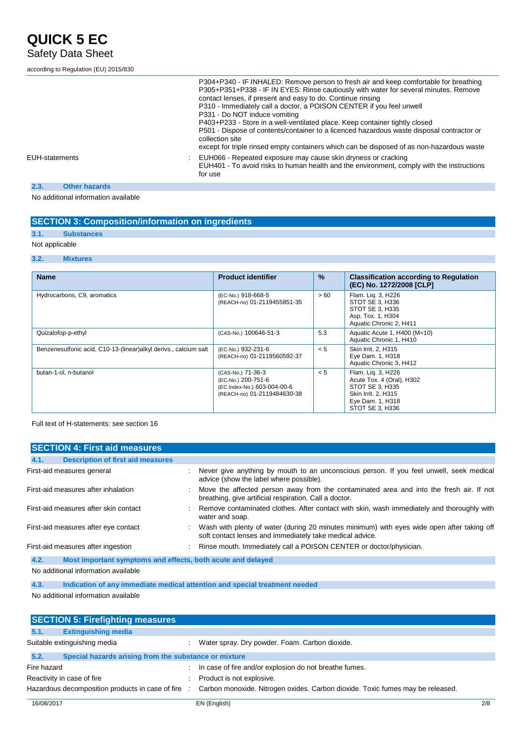## according to Regulation (EU) 2015/830

|                              | P304+P340 - IF INHALED: Remove person to fresh air and keep comfortable for breathing<br>P305+P351+P338 - IF IN EYES: Rinse cautiously with water for several minutes. Remove<br>contact lenses, if present and easy to do. Continue rinsing<br>P310 - Immediately call a doctor, a POISON CENTER if you feel unwell<br>P331 - Do NOT induce vomiting<br>P403+P233 - Store in a well-ventilated place. Keep container tightly closed<br>P501 - Dispose of contents/container to a licenced hazardous waste disposal contractor or<br>collection site<br>except for triple rinsed empty containers which can be disposed of as non-hazardous waste |
|------------------------------|---------------------------------------------------------------------------------------------------------------------------------------------------------------------------------------------------------------------------------------------------------------------------------------------------------------------------------------------------------------------------------------------------------------------------------------------------------------------------------------------------------------------------------------------------------------------------------------------------------------------------------------------------|
| <b>EUH-statements</b>        | EUH066 - Repeated exposure may cause skin dryness or cracking<br>EUH401 - To avoid risks to human health and the environment, comply with the instructions<br>for use                                                                                                                                                                                                                                                                                                                                                                                                                                                                             |
| <b>Other hazards</b><br>2.3. |                                                                                                                                                                                                                                                                                                                                                                                                                                                                                                                                                                                                                                                   |

No additional information available

## **SECTION 3: Composition/information on ingredients**

## **3.1. Substances**

## Not applicable

## **3.2. Mixtures**

| <b>Name</b>                                                      | <b>Product identifier</b>                                                                             | $\%$ | <b>Classification according to Regulation</b><br>(EC) No. 1272/2008 [CLP]                                                        |
|------------------------------------------------------------------|-------------------------------------------------------------------------------------------------------|------|----------------------------------------------------------------------------------------------------------------------------------|
| Hydrocarbons, C9, aromatics                                      | (EC-No.) 918-668-5<br>(REACH-no) 01-2119455851-35                                                     | > 60 | Flam. Lig. 3, H226<br>STOT SE 3, H336<br>STOT SE 3, H335<br>Asp. Tox. 1, H304<br>Aquatic Chronic 2, H411                         |
| Quizalofop-p-ethyl                                               | (CAS-No.) 100646-51-3                                                                                 | 5.3  | Aquatic Acute 1, H400 (M=10)<br>Aquatic Chronic 1, H410                                                                          |
| Benzenesulfonic acid, C10-13-(linear)alkyl derivs., calcium salt | (EC-No.) 932-231-6<br>(REACH-no) 01-2119560592-37                                                     | < 5  | Skin Irrit. 2, H315<br>Eye Dam. 1, H318<br>Aquatic Chronic 3, H412                                                               |
| butan-1-ol, n-butanol                                            | (CAS-No.) 71-36-3<br>(EC-No.) 200-751-6<br>(EC Index-No.) 603-004-00-6<br>(REACH-no) 01-2119484630-38 | < 5  | Flam. Lig. 3, H226<br>Acute Tox. 4 (Oral), H302<br>STOT SE 3, H335<br>Skin Irrit. 2, H315<br>Eye Dam. 1, H318<br>STOT SE 3, H336 |

Full text of H-statements: see section 16

| <b>SECTION 4: First aid measures</b>                                |                                                                                                                                                          |
|---------------------------------------------------------------------|----------------------------------------------------------------------------------------------------------------------------------------------------------|
| <b>Description of first aid measures</b><br>4.1.                    |                                                                                                                                                          |
| First-aid measures general                                          | : Never give anything by mouth to an unconscious person. If you feel unwell, seek medical<br>advice (show the label where possible).                     |
| First-aid measures after inhalation                                 | : Move the affected person away from the contaminated area and into the fresh air. If not<br>breathing, give artificial respiration. Call a doctor.      |
| First-aid measures after skin contact                               | : Remove contaminated clothes. After contact with skin, wash immediately and thoroughly with<br>water and soap.                                          |
| First-aid measures after eye contact                                | : Wash with plenty of water (during 20 minutes minimum) with eyes wide open after taking off<br>soft contact lenses and immediately take medical advice. |
| First-aid measures after ingestion                                  | : Rinse mouth. Immediately call a POISON CENTER or doctor/physician.                                                                                     |
| 4.2.<br>Most important symptoms and effects, both acute and delayed |                                                                                                                                                          |
|                                                                     |                                                                                                                                                          |

#### No additional information available

**4.3. Indication of any immediate medical attention and special treatment needed**

## No additional information available

| <b>SECTION 5: Firefighting measures</b>          |                                                       |                                                                                |     |
|--------------------------------------------------|-------------------------------------------------------|--------------------------------------------------------------------------------|-----|
| <b>Extinguishing media</b><br>5.1.               |                                                       |                                                                                |     |
| Suitable extinguishing media                     |                                                       | Water spray. Dry powder. Foam. Carbon dioxide.                                 |     |
| 5.2.                                             | Special hazards arising from the substance or mixture |                                                                                |     |
| Fire hazard                                      |                                                       | In case of fire and/or explosion do not breathe fumes.                         |     |
| Reactivity in case of fire                       |                                                       | Product is not explosive.                                                      |     |
| Hazardous decomposition products in case of fire |                                                       | Carbon monoxide. Nitrogen oxides. Carbon dioxide. Toxic fumes may be released. |     |
| 16/08/2017                                       |                                                       | EN (English)                                                                   | 2/8 |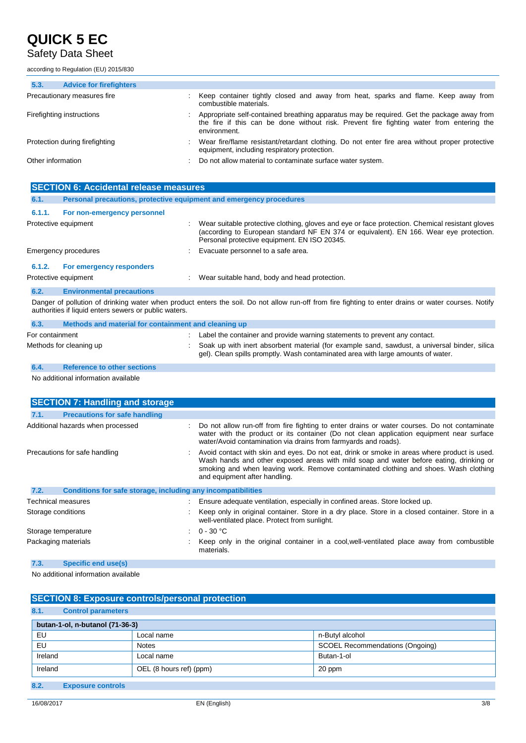## Safety Data Sheet

according to Regulation (EU) 2015/830

## **5.3. Advice for firefighters** Precautionary measures fire : Keep container tightly closed and away from heat, sparks and flame. Keep away from

combustible materials. Firefighting instructions **included in the sett-contained** breathing apparatus may be required. Get the package away from the fire if this can be done without risk. Prevent fire fighting water from entering the environment. Protection during firefighting **intercontagata contage in the UP** of the area without proper protective in the area without proper protective equipment, including respiratory protection. Other information **Other information** : Do not allow material to contaminate surface water system.

|        | <b>SECTION 6: Accidental release measures</b>                       |                                                                                                                                                                                                                                           |
|--------|---------------------------------------------------------------------|-------------------------------------------------------------------------------------------------------------------------------------------------------------------------------------------------------------------------------------------|
| 6.1.   | Personal precautions, protective equipment and emergency procedures |                                                                                                                                                                                                                                           |
| 6.1.1. | For non-emergency personnel                                         |                                                                                                                                                                                                                                           |
|        | Protective equipment                                                | Wear suitable protective clothing, gloves and eye or face protection. Chemical resistant gloves<br>(according to European standard NF EN 374 or equivalent). EN 166. Wear eye protection.<br>Personal protective equipment. EN ISO 20345. |
|        | Emergency procedures                                                | : Evacuate personnel to a safe area.                                                                                                                                                                                                      |
| 6.1.2. | For emergency responders                                            |                                                                                                                                                                                                                                           |
|        | Protective equipment                                                | : Wear suitable hand, body and head protection.                                                                                                                                                                                           |
| 6.2.   | <b>Environmental precautions</b>                                    |                                                                                                                                                                                                                                           |
|        | authorities if liquid enters sewers or public waters.               | Danger of pollution of drinking water when product enters the soil. Do not allow run-off from fire fighting to enter drains or water courses. Notify                                                                                      |

| 6.3.                    | Methods and material for containment and cleaning up |  |                                                                                                                                                                                    |  |
|-------------------------|------------------------------------------------------|--|------------------------------------------------------------------------------------------------------------------------------------------------------------------------------------|--|
| For containment         |                                                      |  | Label the container and provide warning statements to prevent any contact.                                                                                                         |  |
| Methods for cleaning up |                                                      |  | : Soak up with inert absorbent material (for example sand, sawdust, a universal binder, silica<br>gel). Clean spills promptly. Wash contaminated area with large amounts of water. |  |
| 6.4.                    | <b>Reference to other sections</b>                   |  |                                                                                                                                                                                    |  |

No additional information available

| <b>SECTION 7: Handling and storage</b>                               |  |                                                                                                                                                                                                                                                                                                                   |
|----------------------------------------------------------------------|--|-------------------------------------------------------------------------------------------------------------------------------------------------------------------------------------------------------------------------------------------------------------------------------------------------------------------|
| <b>Precautions for safe handling</b><br>7.1.                         |  |                                                                                                                                                                                                                                                                                                                   |
| Additional hazards when processed                                    |  | Do not allow run-off from fire fighting to enter drains or water courses. Do not contaminate<br>water with the product or its container (Do not clean application equipment near surface<br>water/Avoid contamination via drains from farmyards and roads).                                                       |
| Precautions for safe handling                                        |  | : Avoid contact with skin and eyes. Do not eat, drink or smoke in areas where product is used.<br>Wash hands and other exposed areas with mild soap and water before eating, drinking or<br>smoking and when leaving work. Remove contaminated clothing and shoes. Wash clothing<br>and equipment after handling. |
| 7.2.<br>Conditions for safe storage, including any incompatibilities |  |                                                                                                                                                                                                                                                                                                                   |
| Technical measures                                                   |  | Ensure adequate ventilation, especially in confined areas. Store locked up.                                                                                                                                                                                                                                       |
| Storage conditions                                                   |  | Keep only in original container. Store in a dry place. Store in a closed container. Store in a<br>well-ventilated place. Protect from sunlight.                                                                                                                                                                   |
| Storage temperature                                                  |  | $\therefore$ 0 - 30 °C                                                                                                                                                                                                                                                                                            |
| Packaging materials                                                  |  | Keep only in the original container in a cool, well-ventilated place away from combustible<br>materials.                                                                                                                                                                                                          |

**7.3. Specific end use(s)**

No additional information available

| <b>SECTION 8: Exposure controls/personal protection</b> |                           |                                 |  |  |  |  |  |  |  |
|---------------------------------------------------------|---------------------------|---------------------------------|--|--|--|--|--|--|--|
| 8.1.                                                    | <b>Control parameters</b> |                                 |  |  |  |  |  |  |  |
| butan-1-ol, n-butanol (71-36-3)                         |                           |                                 |  |  |  |  |  |  |  |
| EU                                                      | Local name                | n-Butyl alcohol                 |  |  |  |  |  |  |  |
| EU                                                      | <b>Notes</b>              | SCOEL Recommendations (Ongoing) |  |  |  |  |  |  |  |
| Ireland                                                 | Local name                | Butan-1-ol                      |  |  |  |  |  |  |  |
| Ireland                                                 | OEL (8 hours ref) (ppm)   | 20 ppm                          |  |  |  |  |  |  |  |
| 8.2.                                                    | <b>Exposure controls</b>  |                                 |  |  |  |  |  |  |  |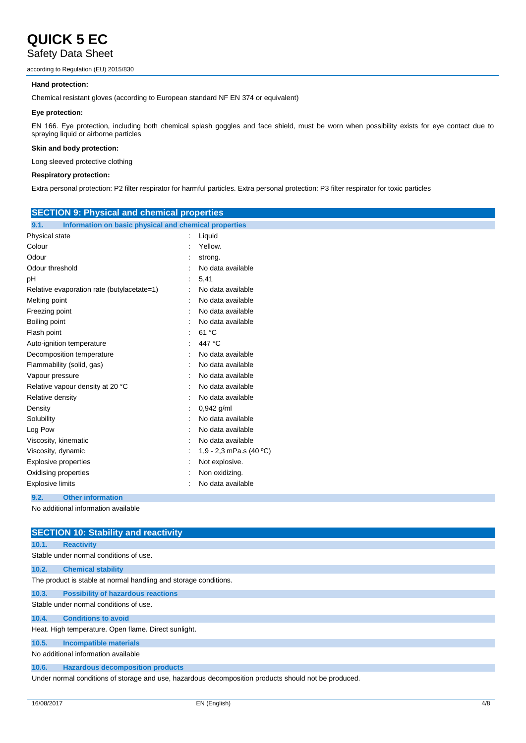## Safety Data Sheet

according to Regulation (EU) 2015/830

## **Hand protection:**

Chemical resistant gloves (according to European standard NF EN 374 or equivalent)

## **Eye protection:**

EN 166. Eye protection, including both chemical splash goggles and face shield, must be worn when possibility exists for eye contact due to spraying liquid or airborne particles

## **Skin and body protection:**

Long sleeved protective clothing

## **Respiratory protection:**

Extra personal protection: P2 filter respirator for harmful particles. Extra personal protection: P3 filter respirator for toxic particles

| <b>SECTION 9: Physical and chemical properties</b>            |                           |  |  |
|---------------------------------------------------------------|---------------------------|--|--|
| Information on basic physical and chemical properties<br>9.1. |                           |  |  |
| Physical state                                                | Liquid                    |  |  |
| Colour                                                        | Yellow.                   |  |  |
| Odour                                                         | strong.                   |  |  |
| Odour threshold                                               | No data available         |  |  |
| pН                                                            | 5,41                      |  |  |
| Relative evaporation rate (butylacetate=1)                    | No data available         |  |  |
| Melting point                                                 | No data available         |  |  |
| Freezing point                                                | No data available         |  |  |
| <b>Boiling point</b>                                          | No data available         |  |  |
| Flash point                                                   | 61 °C                     |  |  |
| Auto-ignition temperature                                     | 447 °C                    |  |  |
| Decomposition temperature                                     | No data available         |  |  |
| Flammability (solid, gas)                                     | No data available         |  |  |
| Vapour pressure                                               | No data available         |  |  |
| Relative vapour density at 20 °C                              | No data available         |  |  |
| Relative density                                              | No data available         |  |  |
| Density                                                       | 0,942 g/ml                |  |  |
| Solubility                                                    | No data available         |  |  |
| Log Pow                                                       | No data available         |  |  |
| Viscosity, kinematic                                          | No data available         |  |  |
| Viscosity, dynamic                                            | 1,9 - 2,3 mPa.s $(40 °C)$ |  |  |
| <b>Explosive properties</b>                                   | Not explosive.            |  |  |
| Oxidising properties                                          | Non oxidizing.            |  |  |
| Explosive limits                                              | No data available         |  |  |
| <b>Other information</b><br>9.2.                              |                           |  |  |
| No additional information available                           |                           |  |  |

|                                                      | <b>SECTION 10: Stability and reactivity</b>                                                          |  |  |  |
|------------------------------------------------------|------------------------------------------------------------------------------------------------------|--|--|--|
| 10.1.                                                | <b>Reactivity</b>                                                                                    |  |  |  |
|                                                      | Stable under normal conditions of use.                                                               |  |  |  |
| 10.2.                                                | <b>Chemical stability</b>                                                                            |  |  |  |
|                                                      | The product is stable at normal handling and storage conditions.                                     |  |  |  |
| 10.3.                                                | <b>Possibility of hazardous reactions</b>                                                            |  |  |  |
|                                                      | Stable under normal conditions of use.                                                               |  |  |  |
| 10.4.                                                | <b>Conditions to avoid</b>                                                                           |  |  |  |
| Heat. High temperature. Open flame. Direct sunlight. |                                                                                                      |  |  |  |
| 10.5.                                                | <b>Incompatible materials</b>                                                                        |  |  |  |
|                                                      | No additional information available                                                                  |  |  |  |
| 10.6.                                                | <b>Hazardous decomposition products</b>                                                              |  |  |  |
|                                                      | Under normal conditions of storage and use, hazardous decomposition products should not be produced. |  |  |  |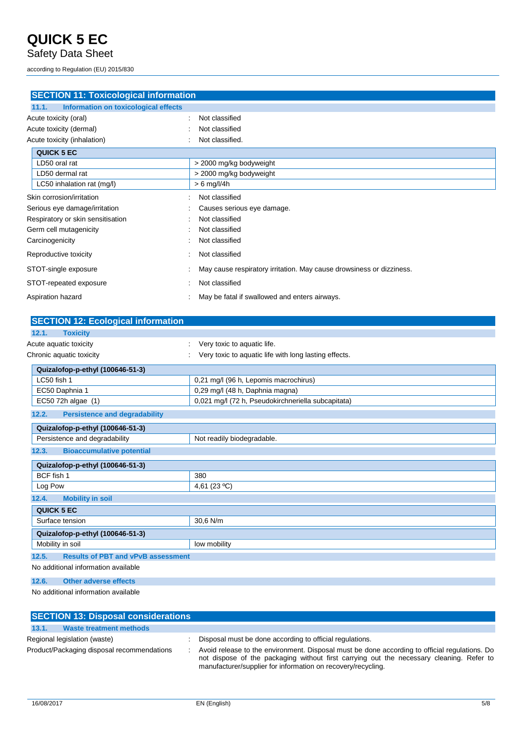Safety Data Sheet

according to Regulation (EU) 2015/830

| <b>SECTION 11: Toxicological information</b>  |                                                                      |
|-----------------------------------------------|----------------------------------------------------------------------|
| 11.1.<br>Information on toxicological effects |                                                                      |
| Acute toxicity (oral)                         | Not classified<br>$\bullet$                                          |
| Acute toxicity (dermal)                       | Not classified                                                       |
| Acute toxicity (inhalation)                   | Not classified.                                                      |
| <b>QUICK 5 EC</b>                             |                                                                      |
| LD50 oral rat                                 | > 2000 mg/kg bodyweight                                              |
| LD50 dermal rat                               | > 2000 mg/kg bodyweight                                              |
| LC50 inhalation rat (mg/l)                    | $> 6$ mg/l/4h                                                        |
| Skin corrosion/irritation                     | Not classified                                                       |
| Serious eye damage/irritation                 | Causes serious eye damage.                                           |
| Respiratory or skin sensitisation             | Not classified                                                       |
| Germ cell mutagenicity                        | Not classified                                                       |
| Carcinogenicity                               | Not classified                                                       |
| Reproductive toxicity                         | Not classified                                                       |
| STOT-single exposure                          | May cause respiratory irritation. May cause drowsiness or dizziness. |
| STOT-repeated exposure                        | Not classified                                                       |
| Aspiration hazard                             | May be fatal if swallowed and enters airways.                        |
|                                               |                                                                      |

| <b>SECTION 12: Ecological information</b>          |                                                       |
|----------------------------------------------------|-------------------------------------------------------|
| 12.1.<br><b>Toxicity</b>                           |                                                       |
| Acute aquatic toxicity                             | Very toxic to aquatic life.                           |
| Chronic aquatic toxicity                           | Very toxic to aquatic life with long lasting effects. |
| Quizalofop-p-ethyl (100646-51-3)                   |                                                       |
| LC50 fish 1                                        | 0,21 mg/l (96 h, Lepomis macrochirus)                 |
| EC50 Daphnia 1                                     | 0,29 mg/l (48 h, Daphnia magna)                       |
| EC50 72h algae (1)                                 | 0,021 mg/l (72 h, Pseudokirchneriella subcapitata)    |
| 12.2.<br><b>Persistence and degradability</b>      |                                                       |
| Quizalofop-p-ethyl (100646-51-3)                   |                                                       |
| Persistence and degradability                      | Not readily biodegradable.                            |
| 12.3.<br><b>Bioaccumulative potential</b>          |                                                       |
| Quizalofop-p-ethyl (100646-51-3)                   |                                                       |
| BCF fish 1                                         | 380                                                   |
| Log Pow                                            | 4,61 (23 °C)                                          |
| 12.4.<br><b>Mobility in soil</b>                   |                                                       |
| <b>QUICK 5 EC</b>                                  |                                                       |
| Surface tension                                    | 30,6 N/m                                              |
| Quizalofop-p-ethyl (100646-51-3)                   |                                                       |
| Mobility in soil                                   | low mobility                                          |
| 12.5.<br><b>Results of PBT and vPvB assessment</b> |                                                       |
| No additional information available                |                                                       |
| 12.6.<br><b>Other adverse effects</b>              |                                                       |
|                                                    |                                                       |

No additional information available

| <b>SECTION 13: Disposal considerations</b> |                                                                                                                                                                                                                                                           |
|--------------------------------------------|-----------------------------------------------------------------------------------------------------------------------------------------------------------------------------------------------------------------------------------------------------------|
| <b>Waste treatment methods</b><br>13.1.    |                                                                                                                                                                                                                                                           |
| Regional legislation (waste)               | Disposal must be done according to official regulations.                                                                                                                                                                                                  |
| Product/Packaging disposal recommendations | Avoid release to the environment. Disposal must be done according to official regulations. Do<br>not dispose of the packaging without first carrying out the necessary cleaning. Refer to<br>manufacturer/supplier for information on recovery/recycling. |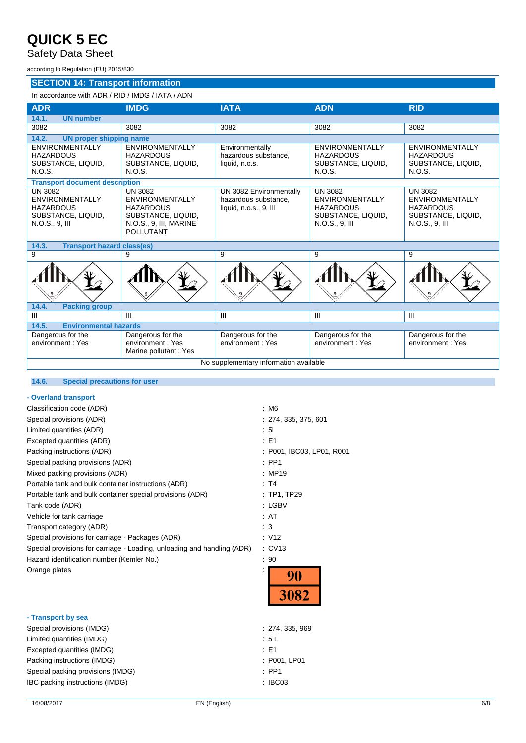## Safety Data Sheet

according to Regulation (EU) 2015/830

## **SECTION 14: Transport information**

## In accordance with ADR / RID / IMDG / IATA / ADN

| <b>ADR</b>                                                                                             | <b>IMDG</b>                                                                                                                      | <b>IATA</b>                                                               | <b>ADN</b>                                                                                             | <b>RID</b>                                                                                             |  |
|--------------------------------------------------------------------------------------------------------|----------------------------------------------------------------------------------------------------------------------------------|---------------------------------------------------------------------------|--------------------------------------------------------------------------------------------------------|--------------------------------------------------------------------------------------------------------|--|
| <b>UN number</b><br>14.1.                                                                              |                                                                                                                                  |                                                                           |                                                                                                        |                                                                                                        |  |
| 3082                                                                                                   | 3082                                                                                                                             | 3082                                                                      | 3082                                                                                                   | 3082                                                                                                   |  |
| 14.2.<br><b>UN proper shipping name</b>                                                                |                                                                                                                                  |                                                                           |                                                                                                        |                                                                                                        |  |
| <b>ENVIRONMENTALLY</b><br><b>HAZARDOUS</b><br>SUBSTANCE, LIQUID,<br>N.O.S.                             | <b>ENVIRONMENTALLY</b><br><b>HAZARDOUS</b><br>SUBSTANCE, LIQUID,<br>N.O.S.                                                       | Environmentally<br>hazardous substance,<br>liquid, n.o.s.                 | <b>ENVIRONMENTALLY</b><br><b>HAZARDOUS</b><br>SUBSTANCE, LIQUID,<br>N.O.S.                             | <b>ENVIRONMENTALLY</b><br><b>HAZARDOUS</b><br>SUBSTANCE, LIQUID,<br>N.O.S.                             |  |
| <b>Transport document description</b>                                                                  |                                                                                                                                  |                                                                           |                                                                                                        |                                                                                                        |  |
| <b>UN 3082</b><br><b>ENVIRONMENTALLY</b><br><b>HAZARDOUS</b><br>SUBSTANCE, LIQUID,<br>$N.O.S., 9.$ III | <b>UN 3082</b><br><b>ENVIRONMENTALLY</b><br><b>HAZARDOUS</b><br>SUBSTANCE, LIQUID,<br>N.O.S., 9, III, MARINE<br><b>POLLUTANT</b> | UN 3082 Environmentally<br>hazardous substance.<br>liquid, n.o.s., 9, III | <b>UN 3082</b><br><b>ENVIRONMENTALLY</b><br><b>HAZARDOUS</b><br>SUBSTANCE, LIQUID,<br>$N.O.S., 9.$ III | <b>UN 3082</b><br><b>ENVIRONMENTALLY</b><br><b>HAZARDOUS</b><br>SUBSTANCE, LIQUID,<br>$N.O.S., 9.$ III |  |
| 14.3.<br><b>Transport hazard class(es)</b>                                                             |                                                                                                                                  |                                                                           |                                                                                                        |                                                                                                        |  |
| 9                                                                                                      | 9                                                                                                                                | 9                                                                         | 9                                                                                                      | 9                                                                                                      |  |
|                                                                                                        |                                                                                                                                  |                                                                           |                                                                                                        |                                                                                                        |  |
| <b>Packing group</b><br>14.4.                                                                          |                                                                                                                                  |                                                                           |                                                                                                        |                                                                                                        |  |
| $\mathbf{III}$                                                                                         | $\mathbf{H}$                                                                                                                     | III                                                                       | III                                                                                                    | III                                                                                                    |  |
| <b>Environmental hazards</b><br>14.5.                                                                  |                                                                                                                                  |                                                                           |                                                                                                        |                                                                                                        |  |
| Dangerous for the<br>environment: Yes                                                                  | Dangerous for the<br>environment: Yes<br>Marine pollutant: Yes                                                                   | Dangerous for the<br>environment: Yes                                     | Dangerous for the<br>environment: Yes                                                                  | Dangerous for the<br>environment: Yes                                                                  |  |
| No supplementary information available                                                                 |                                                                                                                                  |                                                                           |                                                                                                        |                                                                                                        |  |
|                                                                                                        |                                                                                                                                  |                                                                           |                                                                                                        |                                                                                                        |  |

## **14.6. Special precautions for user**

## **- Overland transport**

| Classification code (ADR)                                               | : M6     |
|-------------------------------------------------------------------------|----------|
| Special provisions (ADR)                                                | : 274. 3 |
| Limited quantities (ADR)                                                | : 51     |
| Excepted quantities (ADR)                                               | : E1     |
| Packing instructions (ADR)                                              | : P001.  |
| Special packing provisions (ADR)                                        | $:$ PP1  |
| Mixed packing provisions (ADR)                                          | : MP19   |
| Portable tank and bulk container instructions (ADR)                     | : T4     |
| Portable tank and bulk container special provisions (ADR)               | :TP1,    |
| Tank code (ADR)                                                         | : LGBV   |
| Vehicle for tank carriage                                               | : AT     |
| Transport category (ADR)                                                | :3       |
| Special provisions for carriage - Packages (ADR)                        | : V12    |
| Special provisions for carriage - Loading, unloading and handling (ADR) | $:$ CV13 |
| Hazard identification number (Kemler No.)                               | : 90     |
| Orange plates                                                           |          |

## **- Transport by sea**

274, 335, 375, 601 P001, IBC03, LP01, R001 PP1, TP29



| Special provisions (IMDG)         | : 274, 335, 969  |
|-----------------------------------|------------------|
| Limited quantities (IMDG)         | : 5 L            |
| Excepted quantities (IMDG)        | : E1             |
| Packing instructions (IMDG)       | : P001, LP01     |
| Special packing provisions (IMDG) | $\therefore$ PP1 |
| IBC packing instructions (IMDG)   | : IBCO3          |
|                                   |                  |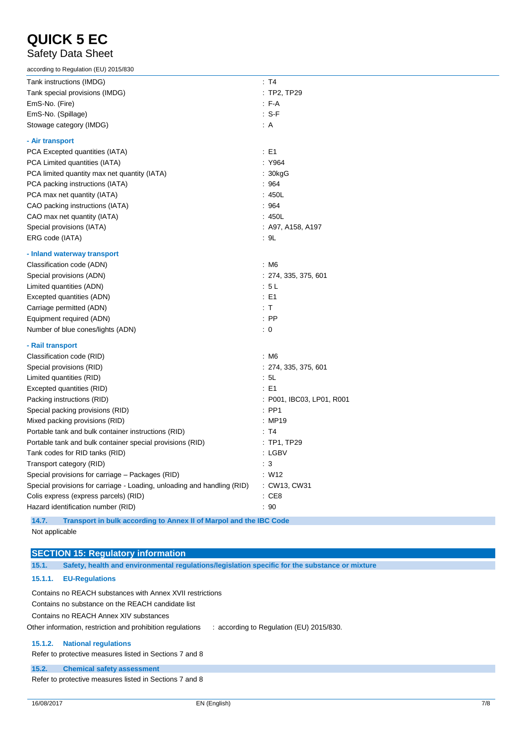## Safety Data Sheet

| according to Regulation (EU) 2015/830                                     |                           |
|---------------------------------------------------------------------------|---------------------------|
| Tank instructions (IMDG)                                                  | : T4                      |
| Tank special provisions (IMDG)                                            | : TP2, TP29               |
| EmS-No. (Fire)                                                            | $F-A$                     |
| EmS-No. (Spillage)                                                        | $: S-F$                   |
| Stowage category (IMDG)                                                   | $\therefore$ A            |
| - Air transport                                                           |                           |
| PCA Excepted quantities (IATA)                                            | $\therefore$ E1           |
| PCA Limited quantities (IATA)                                             | : Y964                    |
| PCA limited quantity max net quantity (IATA)                              | : 30kgG                   |
| PCA packing instructions (IATA)                                           | :964                      |
| PCA max net quantity (IATA)                                               | :450L                     |
| CAO packing instructions (IATA)                                           | :964                      |
| CAO max net quantity (IATA)                                               | :450L                     |
| Special provisions (IATA)                                                 | : A97, A158, A197         |
| ERG code (IATA)                                                           | : 9L                      |
| - Inland waterway transport                                               |                           |
| Classification code (ADN)                                                 | : M6                      |
| Special provisions (ADN)                                                  | : 274, 335, 375, 601      |
| Limited quantities (ADN)                                                  | : 5 L                     |
| Excepted quantities (ADN)                                                 | $\therefore$ E1           |
| Carriage permitted (ADN)                                                  | : T                       |
| Equipment required (ADN)                                                  | $:$ PP                    |
| Number of blue cones/lights (ADN)                                         | $\colon 0$                |
| - Rail transport                                                          |                           |
| Classification code (RID)                                                 | : M6                      |
| Special provisions (RID)                                                  | : 274, 335, 375, 601      |
| Limited quantities (RID)                                                  | : 5L                      |
| Excepted quantities (RID)                                                 | $\therefore$ E1           |
| Packing instructions (RID)                                                | : P001, IBC03, LP01, R001 |
| Special packing provisions (RID)                                          | $:$ PP1                   |
| Mixed packing provisions (RID)                                            | : MP19                    |
| Portable tank and bulk container instructions (RID)                       | : T4                      |
| Portable tank and bulk container special provisions (RID)                 | $:$ TP1, TP29             |
| Tank codes for RID tanks (RID)                                            | : LGBV                    |
| Transport category (RID)                                                  | $\therefore$ 3            |
| Special provisions for carriage - Packages (RID)                          | :W12                      |
| Special provisions for carriage - Loading, unloading and handling (RID)   | : CW13, CW31              |
| Colis express (express parcels) (RID)                                     | $\therefore$ CE8          |
| Hazard identification number (RID)                                        | : 90                      |
| AA<br>Transport in built according to Annoy II of Mornal and the IDC Cade |                           |

**14.7. Transport in bulk according to Annex II of Marpol and the IBC Code** Not applicable

## **SECTION 15: Regulatory information**

**15.1. Safety, health and environmental regulations/legislation specific for the substance or mixture**

## **15.1.1. EU-Regulations**

Contains no REACH substances with Annex XVII restrictions

Contains no substance on the REACH candidate list

Contains no REACH Annex XIV substances

Other information, restriction and prohibition regulations : according to Regulation (EU) 2015/830.

#### **15.1.2. National regulations**

Refer to protective measures listed in Sections 7 and 8

#### **15.2. Chemical safety assessment**

Refer to protective measures listed in Sections 7 and 8